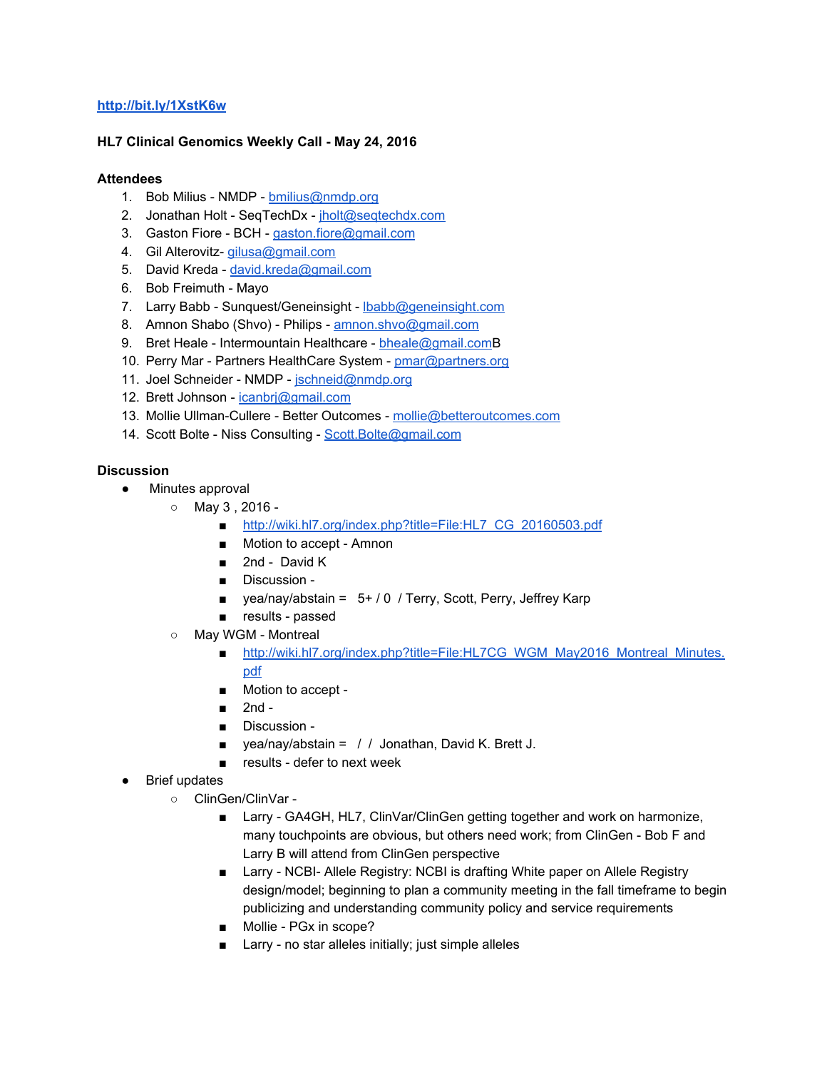## **<http://bit.ly/1XstK6w>**

## **HL7 Clinical Genomics Weekly Call May 24, 2016**

## **Attendees**

- 1. Bob Milius NMDP [bmilius@nmdp.org](mailto:bmilius@nmdp.org)
- 2. Jonathan Holt SeqTechDx [jholt@seqtechdx.com](mailto:jholt@seqtechdx.com)
- 3. Gaston Fiore BCH [gaston.fiore@gmail.com](mailto:gaston.fiore@gmail.com)
- 4. Gil Alterovitz- [gilusa@gmail.com](mailto:gilusa@gmail.com)
- 5. David Kreda [david.kreda@gmail.com](mailto:david.kreda@gmail.com)
- 6. Bob Freimuth Mayo
- 7. Larry Babb Sunquest/Geneinsight Ibabb@geneinsight.com
- 8. Amnon Shabo (Shvo) Philips [amnon.shvo@gmail.com](mailto:amnon.shvo@gmail.com)
- 9. Bret Heale Intermountain Healthcare [bheale@gmail.comB](mailto:bheale@gmail.com)
- 10. Perry Mar Partners HealthCare System [pmar@partners.org](mailto:pmar@partners.org)
- 11. Joel Schneider NMDP [jschneid@nmdp.org](mailto:jschneid@nmdp.org)
- 12. Brett Johnson [icanbrj@gmail.com](mailto:icanbrj@gmail.com)
- 13. Mollie Ullman-Cullere Better Outcomes [mollie@betteroutcomes.com](mailto:mollie@betteroutcomes.com)
- 14. Scott Bolte Niss Consulting [Scott.Bolte@gmail.com](mailto:Scott.Bolte@gmail.com)

#### **Discussion**

- Minutes approval
	- $\circ$  May 3 , 2016
		- [http://wiki.hl7.org/index.php?title=File:HL7\\_CG\\_20160503.pdf](http://wiki.hl7.org/index.php?title=File:HL7_CG_20160503.pdf)
		- Motion to accept Amnon
		- 2nd David K
		- Discussion -
		- yea/nay/abstain = 5+ / 0 / Terry, Scott, Perry, Jeffrey Karp
		- results passed
	- Mav WGM Montreal
		- [http://wiki.hl7.org/index.php?title=File:HL7CG\\_WGM\\_May2016\\_Montreal\\_Minutes.](http://wiki.hl7.org/index.php?title=File:HL7CG_WGM_May2016_Montreal_Minutes.pdf) [pdf](http://wiki.hl7.org/index.php?title=File:HL7CG_WGM_May2016_Montreal_Minutes.pdf)
		- Motion to accept -
		- $\blacksquare$  2nd -
		- Discussion -
		- $\blacksquare$  yea/nay/abstain = / / Jonathan, David K. Brett J.
		- $\blacksquare$  results defer to next week
- **Brief updates** 
	- ClinGen/ClinVar
		- Larry GA4GH, HL7, ClinVar/ClinGen getting together and work on harmonize, many touchpoints are obvious, but others need work; from ClinGen - Bob F and Larry B will attend from ClinGen perspective
		- Larry NCBI- Allele Registry: NCBI is drafting White paper on Allele Registry design/model; beginning to plan a community meeting in the fall timeframe to begin publicizing and understanding community policy and service requirements
		- Mollie PGx in scope?
		- Larry no star alleles initially; just simple alleles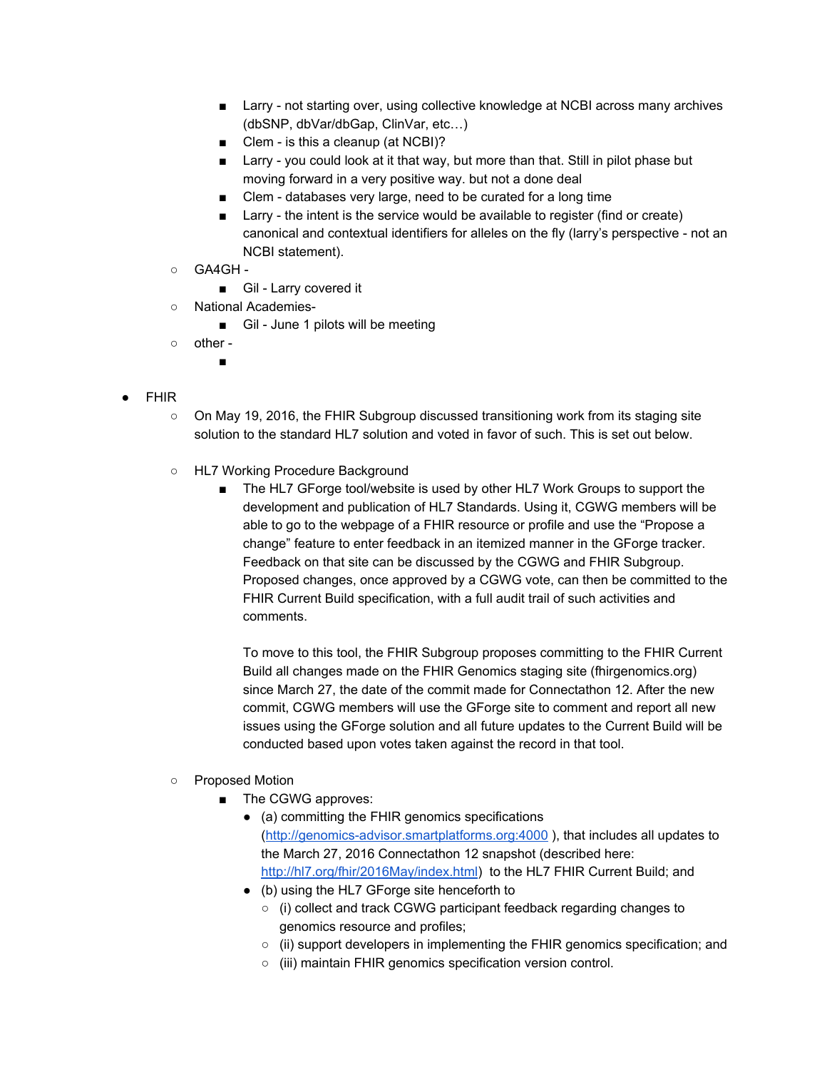- Larry not starting over, using collective knowledge at NCBI across many archives (dbSNP, dbVar/dbGap, ClinVar, etc…)
- Clem is this a cleanup (at NCBI)?
- Larry you could look at it that way, but more than that. Still in pilot phase but moving forward in a very positive way. but not a done deal
- Clem databases very large, need to be curated for a long time
- Larry the intent is the service would be available to register (find or create) canonical and contextual identifiers for alleles on the fly (larry's perspective - not an NCBI statement).
- GA4GH -
	- Gil Larry covered it
- National Academies
	- Gil June 1 pilots will be meeting
- other
	- ■
- FHIR
	- On May 19, 2016, the FHIR Subgroup discussed transitioning work from its staging site solution to the standard HL7 solution and voted in favor of such. This is set out below.
	- HL7 Working Procedure Background
		- The HL7 GForge tool/website is used by other HL7 Work Groups to support the development and publication of HL7 Standards. Using it, CGWG members will be able to go to the webpage of a FHIR resource or profile and use the "Propose a change" feature to enter feedback in an itemized manner in the GForge tracker. Feedback on that site can be discussed by the CGWG and FHIR Subgroup. Proposed changes, once approved by a CGWG vote, can then be committed to the FHIR Current Build specification, with a full audit trail of such activities and comments.

To move to this tool, the FHIR Subgroup proposes committing to the FHIR Current Build all changes made on the FHIR Genomics staging site (fhirgenomics.org) since March 27, the date of the commit made for Connectathon 12. After the new commit, CGWG members will use the GForge site to comment and report all new issues using the GForge solution and all future updates to the Current Build will be conducted based upon votes taken against the record in that tool.

# ○ Proposed Motion

- The CGWG approves:
	- (a) committing the FHIR genomics specifications (http://genomics-advisor.smartplatforms.org:4000), that includes all updates to the March 27, 2016 Connectathon 12 snapshot (described here: [http://hl7.org/fhir/2016May/index.html\)](http://hl7.org/fhir/2016May/index.html) to the HL7 FHIR Current Build; and
	- (b) using the HL7 GForge site henceforth to
		- (i) collect and track CGWG participant feedback regarding changes to genomics resource and profiles;
		- (ii) support developers in implementing the FHIR genomics specification; and
		- (iii) maintain FHIR genomics specification version control.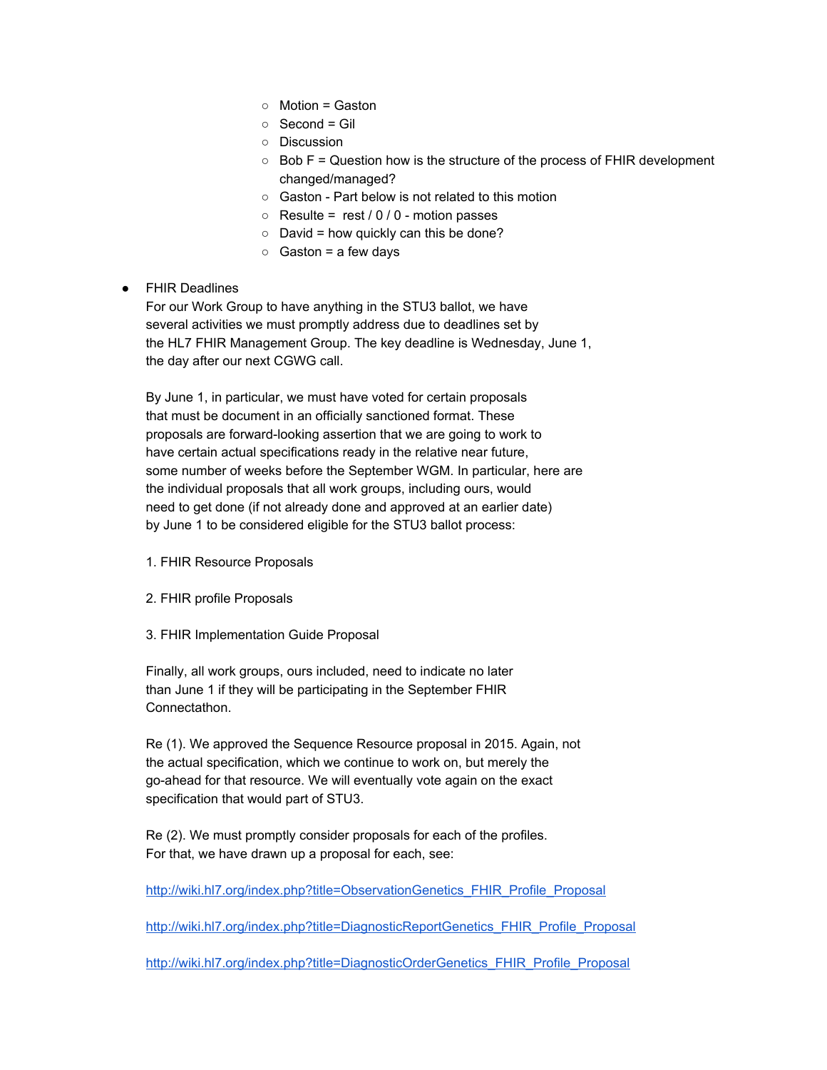- Motion = Gaston
- Second = Gil
- Discussion
- $\circ$  Bob F = Question how is the structure of the process of FHIR development changed/managed?
- Gaston Part below is not related to this motion
- $\circ$  Resulte = rest / 0 / 0 motion passes
- $\circ$  David = how quickly can this be done?
- $\circ$  Gaston = a few days

# ● FHIR Deadlines

For our Work Group to have anything in the STU3 ballot, we have several activities we must promptly address due to deadlines set by the HL7 FHIR Management Group. The key deadline is Wednesday, June 1, the day after our next CGWG call.

By June 1, in particular, we must have voted for certain proposals that must be document in an officially sanctioned format. These proposals are forward-looking assertion that we are going to work to have certain actual specifications ready in the relative near future, some number of weeks before the September WGM. In particular, here are the individual proposals that all work groups, including ours, would need to get done (if not already done and approved at an earlier date) by June 1 to be considered eligible for the STU3 ballot process:

- 1. FHIR Resource Proposals
- 2. FHIR profile Proposals
- 3. FHIR Implementation Guide Proposal

Finally, all work groups, ours included, need to indicate no later than June 1 if they will be participating in the September FHIR Connectathon.

Re (1). We approved the Sequence Resource proposal in 2015. Again, not the actual specification, which we continue to work on, but merely the go-ahead for that resource. We will eventually vote again on the exact specification that would part of STU3.

Re (2). We must promptly consider proposals for each of the profiles. For that, we have drawn up a proposal for each, see:

[http://wiki.hl7.org/index.php?title=ObservationGenetics\\_FHIR\\_Profile\\_Proposal](http://wiki.hl7.org/index.php?title=ObservationGenetics_FHIR_Profile_Proposal)

[http://wiki.hl7.org/index.php?title=DiagnosticReportGenetics\\_FHIR\\_Profile\\_Proposal](http://wiki.hl7.org/index.php?title=DiagnosticReportGenetics_FHIR_Profile_Proposal)

[http://wiki.hl7.org/index.php?title=DiagnosticOrderGenetics\\_FHIR\\_Profile\\_Proposal](http://wiki.hl7.org/index.php?title=DiagnosticOrderGenetics_FHIR_Profile_Proposal)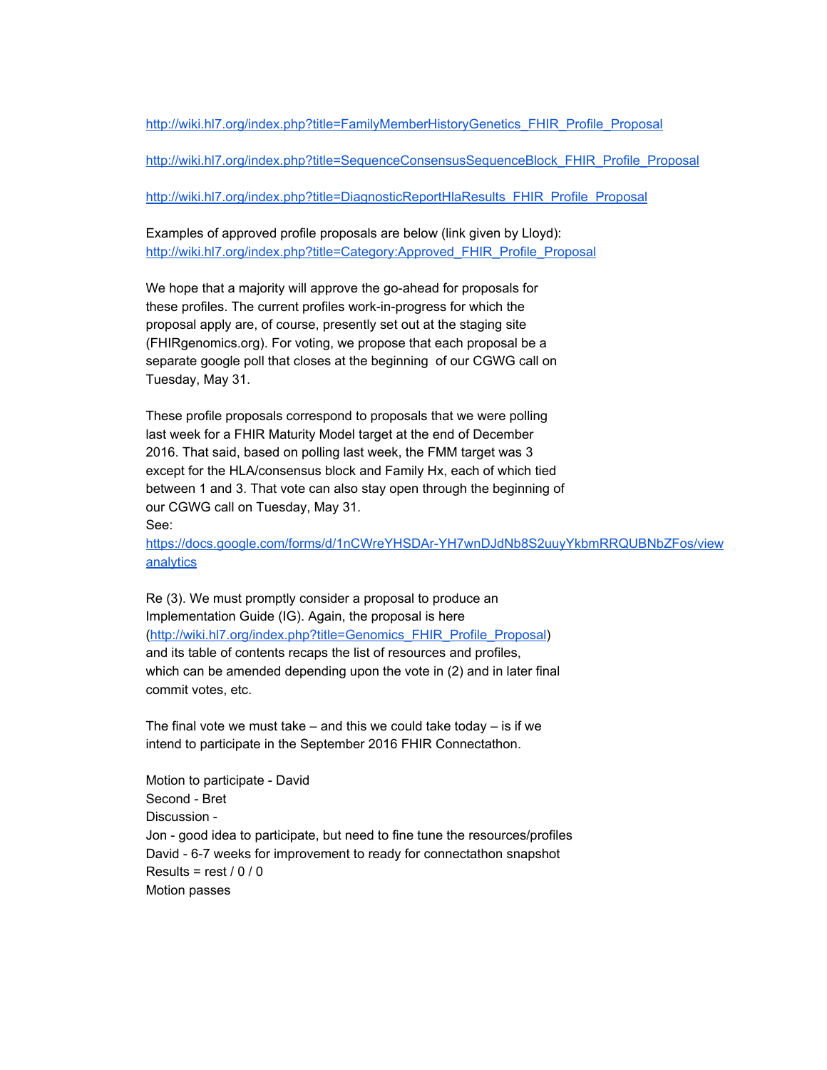[http://wiki.hl7.org/index.php?title=FamilyMemberHistoryGenetics\\_FHIR\\_Profile\\_Proposal](http://wiki.hl7.org/index.php?title=FamilyMemberHistoryGenetics_FHIR_Profile_Proposal)

[http://wiki.hl7.org/index.php?title=SequenceConsensusSequenceBlock\\_FHIR\\_Profile\\_Proposal](http://wiki.hl7.org/index.php?title=SequenceConsensusSequenceBlock_FHIR_Profile_Proposal)

[http://wiki.hl7.org/index.php?title=DiagnosticReportHlaResults\\_FHIR\\_Profile\\_Proposal](http://wiki.hl7.org/index.php?title=DiagnosticReportHlaResults_FHIR_Profile_Proposal)

Examples of approved profile proposals are below (link given by Lloyd): [http://wiki.hl7.org/index.php?title=Category:Approved\\_FHIR\\_Profile\\_Proposal](http://wiki.hl7.org/index.php?title=Category:Approved_FHIR_Profile_Proposal)

We hope that a majority will approve the go-ahead for proposals for these profiles. The current profiles work-in-progress for which the proposal apply are, of course, presently set out at the staging site (FHIRgenomics.org). For voting, we propose that each proposal be a separate google poll that closes at the beginning of our CGWG call on Tuesday, May 31.

These profile proposals correspond to proposals that we were polling last week for a FHIR Maturity Model target at the end of December 2016. That said, based on polling last week, the FMM target was 3 except for the HLA/consensus block and Family Hx, each of which tied between 1 and 3. That vote can also stay open through the beginning of our CGWG call on Tuesday, May 31.

See:

https://docs.google.com/forms/d/1nCWreYHSDAr-YH7wnDJdNb8S2uuyYkbmRRQUBNbZFos/view [analytics](https://docs.google.com/forms/d/1nCWreYHSDAr-YH7wnDJdNb8S2uuyYkbmRRQUBNbZFos/viewanalytics)

Re (3). We must promptly consider a proposal to produce an Implementation Guide (IG). Again, the proposal is here [\(http://wiki.hl7.org/index.php?title=Genomics\\_FHIR\\_Profile\\_Proposal\)](http://wiki.hl7.org/index.php?title=Genomics_FHIR_Profile_Proposal) and its table of contents recaps the list of resources and profiles, which can be amended depending upon the vote in (2) and in later final commit votes, etc.

The final vote we must take  $-$  and this we could take today  $-$  is if we intend to participate in the September 2016 FHIR Connectathon.

Motion to participate - David Second - Bret Discussion -Jon - good idea to participate, but need to fine tune the resources/profiles David - 6-7 weeks for improvement to ready for connectathon snapshot Results =  $rest / 0 / 0$ Motion passes